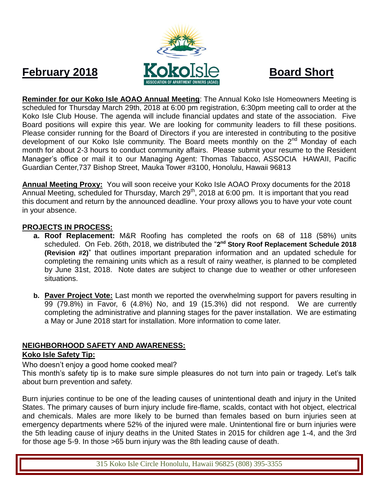

**Reminder for our Koko Isle AOAO Annual Meeting**: The Annual Koko Isle Homeowners Meeting is scheduled for Thursday March 29th, 2018 at 6:00 pm registration, 6:30pm meeting call to order at the Koko Isle Club House. The agenda will include financial updates and state of the association. Five Board positions will expire this year. We are looking for community leaders to fill these positions. Please consider running for the Board of Directors if you are interested in contributing to the positive development of our Koko Isle community. The Board meets monthly on the 2<sup>nd</sup> Monday of each month for about 2-3 hours to conduct community affairs. Please submit your resume to the Resident Manager's office or mail it to our Managing Agent: Thomas Tabacco, ASSOCIA HAWAII, Pacific Guardian Center,737 Bishop Street, Mauka Tower #3100, Honolulu, Hawaii 96813

**Annual Meeting Proxy:** You will soon receive your Koko Isle AOAO Proxy documents for the 2018 Annual Meeting, scheduled for Thursday, March 29<sup>th</sup>, 2018 at 6:00 pm. It is important that you read this document and return by the announced deadline. Your proxy allows you to have your vote count in your absence.

### **PROJECTS IN PROCESS:**

- **a. Roof Replacement:** M&R Roofing has completed the roofs on 68 of 118 (58%) units scheduled. On Feb. 26th, 2018, we distributed the "2<sup>nd</sup> Story Roof Replacement Schedule 2018 **(Revision #2)**" that outlines important preparation information and an updated schedule for completing the remaining units which as a result of rainy weather, is planned to be completed by June 31st, 2018. Note dates are subject to change due to weather or other unforeseen situations.
- **b. Paver Project Vote:** Last month we reported the overwhelming support for pavers resulting in 99 (79.8%) in Favor, 6 (4.8%) No, and 19 (15.3%) did not respond. We are currently completing the administrative and planning stages for the paver installation. We are estimating a May or June 2018 start for installation. More information to come later.

### **NEIGHBORHOOD SAFETY AND AWARENESS:**

#### **Koko Isle Safety Tip:**

Who doesn't enjoy a good home cooked meal?

This month's safety tip is to make sure simple pleasures do not turn into pain or tragedy. Let's talk about burn prevention and safety.

Burn injuries continue to be one of the leading causes of unintentional death and injury in the United States. The primary causes of burn injury include fire-flame, scalds, contact with hot object, electrical and chemicals. Males are more likely to be burned than females based on burn injuries seen at emergency departments where 52% of the injured were male. Unintentional fire or burn injuries were the 5th leading cause of injury deaths in the United States in 2015 for children age 1-4, and the 3rd for those age 5-9. In those >65 burn injury was the 8th leading cause of death.

315 Koko Isle Circle Honolulu, Hawaii 96825 (808) 395-3355